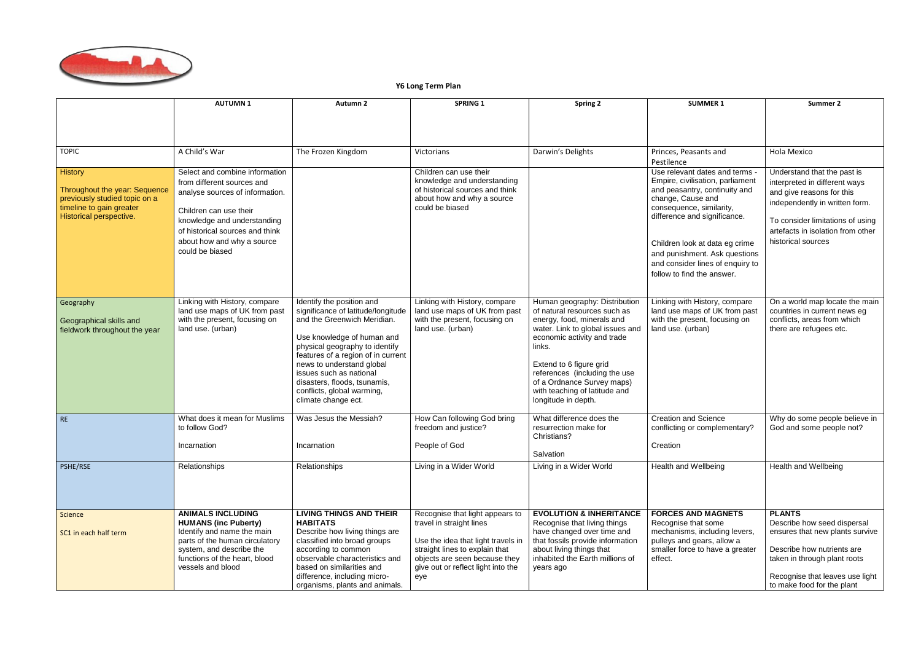

## **Y6 Long Term Plan**

|                                                                                                                                  | <b>AUTUMN1</b>                                                                                                                                                                                                                               | Autumn <sub>2</sub>                                                                                                                                                                                                                                                                                                                               | <b>SPRING 1</b>                                                                                                                                                                                                   | <b>Spring 2</b>                                                                                                                                                                                                                                                                                                            | <b>SUMMER 1</b>                                                                                                                                                                                                                                                                                                           | Summer 2                                                                                                                                                                                                                   |
|----------------------------------------------------------------------------------------------------------------------------------|----------------------------------------------------------------------------------------------------------------------------------------------------------------------------------------------------------------------------------------------|---------------------------------------------------------------------------------------------------------------------------------------------------------------------------------------------------------------------------------------------------------------------------------------------------------------------------------------------------|-------------------------------------------------------------------------------------------------------------------------------------------------------------------------------------------------------------------|----------------------------------------------------------------------------------------------------------------------------------------------------------------------------------------------------------------------------------------------------------------------------------------------------------------------------|---------------------------------------------------------------------------------------------------------------------------------------------------------------------------------------------------------------------------------------------------------------------------------------------------------------------------|----------------------------------------------------------------------------------------------------------------------------------------------------------------------------------------------------------------------------|
|                                                                                                                                  |                                                                                                                                                                                                                                              |                                                                                                                                                                                                                                                                                                                                                   |                                                                                                                                                                                                                   |                                                                                                                                                                                                                                                                                                                            |                                                                                                                                                                                                                                                                                                                           |                                                                                                                                                                                                                            |
| <b>TOPIC</b>                                                                                                                     | A Child's War                                                                                                                                                                                                                                | The Frozen Kingdom                                                                                                                                                                                                                                                                                                                                | Victorians                                                                                                                                                                                                        | Darwin's Delights                                                                                                                                                                                                                                                                                                          | Princes, Peasants and<br>Pestilence                                                                                                                                                                                                                                                                                       | Hola Mexico                                                                                                                                                                                                                |
| History<br>Throughout the year: Sequence<br>previously studied topic on a<br>timeline to gain greater<br>Historical perspective. | Select and combine information<br>from different sources and<br>analyse sources of information.<br>Children can use their<br>knowledge and understanding<br>of historical sources and think<br>about how and why a source<br>could be biased |                                                                                                                                                                                                                                                                                                                                                   | Children can use their<br>knowledge and understanding<br>of historical sources and think<br>about how and why a source<br>could be biased                                                                         |                                                                                                                                                                                                                                                                                                                            | Use relevant dates and terms -<br>Empire, civilisation, parliament<br>and peasantry, continuity and<br>change, Cause and<br>consequence, similarity,<br>difference and significance.<br>Children look at data eg crime<br>and punishment. Ask questions<br>and consider lines of enquiry to<br>follow to find the answer. | Understand that the past is<br>interpreted in different ways<br>and give reasons for this<br>independently in written form.<br>To consider limitations of using<br>artefacts in isolation from other<br>historical sources |
| Geography<br>Geographical skills and<br>fieldwork throughout the year                                                            | Linking with History, compare<br>land use maps of UK from past<br>with the present, focusing on<br>land use. (urban)                                                                                                                         | Identify the position and<br>significance of latitude/longitude<br>and the Greenwich Meridian.<br>Use knowledge of human and<br>physical geography to identify<br>features of a region of in current<br>news to understand global<br>issues such as national<br>disasters, floods, tsunamis,<br>conflicts, global warming,<br>climate change ect. | Linking with History, compare<br>land use maps of UK from past<br>with the present, focusing on<br>land use. (urban)                                                                                              | Human geography: Distribution<br>of natural resources such as<br>energy, food, minerals and<br>water. Link to global issues and<br>economic activity and trade<br>links.<br>Extend to 6 figure grid<br>references (including the use<br>of a Ordnance Survey maps)<br>with teaching of latitude and<br>longitude in depth. | Linking with History, compare<br>land use maps of UK from past<br>with the present, focusing on<br>land use. (urban)                                                                                                                                                                                                      | On a world map locate the main<br>countries in current news eg<br>conflicts, areas from which<br>there are refugees etc.                                                                                                   |
| RE                                                                                                                               | What does it mean for Muslims<br>to follow God?<br>Incarnation                                                                                                                                                                               | Was Jesus the Messiah?<br>Incarnation                                                                                                                                                                                                                                                                                                             | How Can following God bring<br>freedom and justice?<br>People of God                                                                                                                                              | What difference does the<br>resurrection make for<br>Christians?<br>Salvation                                                                                                                                                                                                                                              | <b>Creation and Science</b><br>conflicting or complementary?<br>Creation                                                                                                                                                                                                                                                  | Why do some people believe in<br>God and some people not?                                                                                                                                                                  |
| PSHE/RSE                                                                                                                         | Relationships                                                                                                                                                                                                                                | Relationships                                                                                                                                                                                                                                                                                                                                     | Living in a Wider World                                                                                                                                                                                           | Living in a Wider World                                                                                                                                                                                                                                                                                                    | Health and Wellbeing                                                                                                                                                                                                                                                                                                      | <b>Health and Wellbeing</b>                                                                                                                                                                                                |
| Science<br>SC1 in each half term                                                                                                 | <b>ANIMALS INCLUDING</b><br><b>HUMANS (inc Puberty)</b><br>Identify and name the main<br>parts of the human circulatory<br>system, and describe the<br>functions of the heart, blood<br>vessels and blood                                    | <b>LIVING THINGS AND THEIR</b><br><b>HABITATS</b><br>Describe how living things are<br>classified into broad groups<br>according to common<br>observable characteristics and<br>based on similarities and<br>difference, including micro-<br>organisms, plants and animals.                                                                       | Recognise that light appears to<br>travel in straight lines<br>Use the idea that light travels in<br>straight lines to explain that<br>objects are seen because they<br>give out or reflect light into the<br>eye | <b>EVOLUTION &amp; INHERITANCE</b><br>Recognise that living things<br>have changed over time and<br>that fossils provide information<br>about living things that<br>inhabited the Earth millions of<br>years ago                                                                                                           | <b>FORCES AND MAGNETS</b><br>Recognise that some<br>mechanisms, including levers,<br>pulleys and gears, allow a<br>smaller force to have a greater<br>effect.                                                                                                                                                             | <b>PLANTS</b><br>Describe how seed dispersal<br>ensures that new plants survive<br>Describe how nutrients are<br>taken in through plant roots<br>Recognise that leaves use light<br>to make food for the plant             |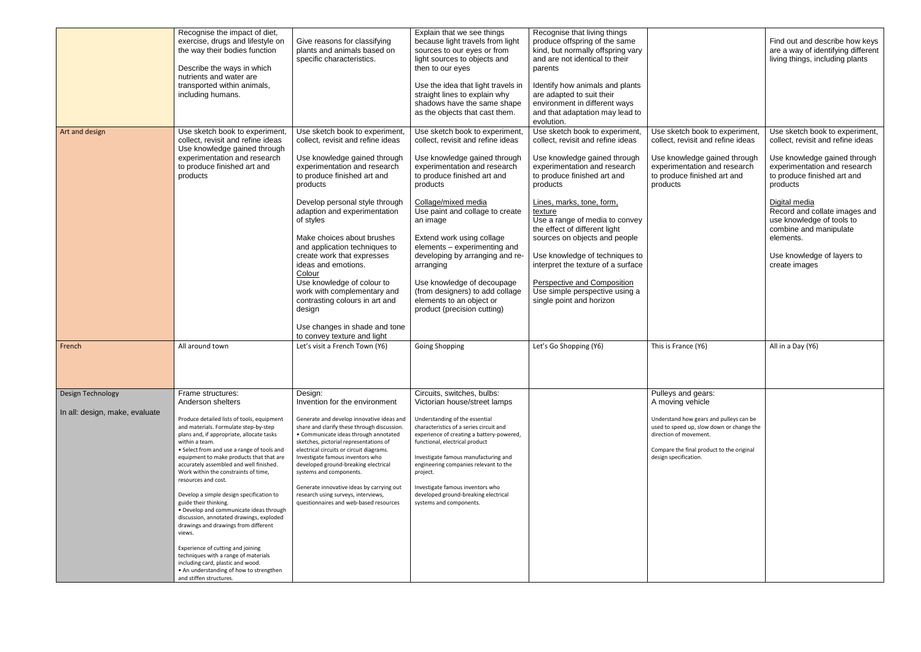|                                | Recognise the impact of diet,<br>exercise, drugs and lifestyle on<br>the way their bodies function<br>Describe the ways in which<br>nutrients and water are<br>transported within animals,<br>including humans.                                                                                                                                        | Give reasons for classifying<br>plants and animals based on<br>specific characteristics.                                                                                                                                                                                                                                       | Explain that we see things<br>because light travels from light<br>sources to our eyes or from<br>light sources to objects and<br>then to our eyes<br>Use the idea that light travels in<br>straight lines to explain why<br>shadows have the same shape<br>as the objects that cast them. | Recognise that living things<br>produce offspring of the same<br>kind, but normally offspring vary<br>and are not identical to their<br>parents<br>Identify how animals and plants<br>are adapted to suit their<br>environment in different ways<br>and that adaptation may lead to<br>evolution. |                                                                                                                                                                                      | Find out and describe how keys<br>are a way of identifying different<br>living things, including plants |
|--------------------------------|--------------------------------------------------------------------------------------------------------------------------------------------------------------------------------------------------------------------------------------------------------------------------------------------------------------------------------------------------------|--------------------------------------------------------------------------------------------------------------------------------------------------------------------------------------------------------------------------------------------------------------------------------------------------------------------------------|-------------------------------------------------------------------------------------------------------------------------------------------------------------------------------------------------------------------------------------------------------------------------------------------|---------------------------------------------------------------------------------------------------------------------------------------------------------------------------------------------------------------------------------------------------------------------------------------------------|--------------------------------------------------------------------------------------------------------------------------------------------------------------------------------------|---------------------------------------------------------------------------------------------------------|
| Art and design                 | Use sketch book to experiment,<br>collect, revisit and refine ideas<br>Use knowledge gained through                                                                                                                                                                                                                                                    | Use sketch book to experiment,<br>collect, revisit and refine ideas                                                                                                                                                                                                                                                            | Use sketch book to experiment,<br>collect, revisit and refine ideas                                                                                                                                                                                                                       | Use sketch book to experiment,<br>collect, revisit and refine ideas                                                                                                                                                                                                                               | Use sketch book to experiment,<br>collect, revisit and refine ideas                                                                                                                  | Use sketch book to experiment,<br>collect, revisit and refine ideas                                     |
|                                | experimentation and research<br>to produce finished art and<br>products                                                                                                                                                                                                                                                                                | Use knowledge gained through<br>experimentation and research<br>to produce finished art and<br>products                                                                                                                                                                                                                        | Use knowledge gained through<br>experimentation and research<br>to produce finished art and<br>products                                                                                                                                                                                   | Use knowledge gained through<br>experimentation and research<br>to produce finished art and<br>products                                                                                                                                                                                           | Use knowledge gained through<br>experimentation and research<br>to produce finished art and<br>products                                                                              | Use knowledge gained through<br>experimentation and research<br>to produce finished art and<br>products |
|                                |                                                                                                                                                                                                                                                                                                                                                        | Develop personal style through<br>adaption and experimentation<br>of styles                                                                                                                                                                                                                                                    | Collage/mixed media<br>Use paint and collage to create<br>an image                                                                                                                                                                                                                        | Lines, marks, tone, form,<br>texture<br>Use a range of media to convey<br>the effect of different light                                                                                                                                                                                           |                                                                                                                                                                                      | Digital media<br>Record and collate images and<br>use knowledge of tools to<br>combine and manipulate   |
|                                |                                                                                                                                                                                                                                                                                                                                                        | Make choices about brushes<br>and application techniques to<br>create work that expresses<br>ideas and emotions.<br>Colour                                                                                                                                                                                                     | Extend work using collage<br>elements - experimenting and<br>developing by arranging and re-<br>arranging                                                                                                                                                                                 | sources on objects and people<br>Use knowledge of techniques to<br>interpret the texture of a surface                                                                                                                                                                                             |                                                                                                                                                                                      | elements.<br>Use knowledge of layers to<br>create images                                                |
|                                |                                                                                                                                                                                                                                                                                                                                                        | Use knowledge of colour to<br>work with complementary and<br>contrasting colours in art and<br>design                                                                                                                                                                                                                          | Use knowledge of decoupage<br>(from designers) to add collage<br>elements to an object or<br>product (precision cutting)                                                                                                                                                                  | <b>Perspective and Composition</b><br>Use simple perspective using a<br>single point and horizon                                                                                                                                                                                                  |                                                                                                                                                                                      |                                                                                                         |
|                                |                                                                                                                                                                                                                                                                                                                                                        | Use changes in shade and tone<br>to convey texture and light                                                                                                                                                                                                                                                                   |                                                                                                                                                                                                                                                                                           |                                                                                                                                                                                                                                                                                                   |                                                                                                                                                                                      |                                                                                                         |
| French                         | All around town                                                                                                                                                                                                                                                                                                                                        | Let's visit a French Town (Y6)                                                                                                                                                                                                                                                                                                 | <b>Going Shopping</b>                                                                                                                                                                                                                                                                     | Let's Go Shopping (Y6)                                                                                                                                                                                                                                                                            | This is France (Y6)                                                                                                                                                                  | All in a Day (Y6)                                                                                       |
| Design Technology              | Frame structures:<br>Anderson shelters                                                                                                                                                                                                                                                                                                                 | Design:<br>Invention for the environment                                                                                                                                                                                                                                                                                       | Circuits, switches, bulbs:<br>Victorian house/street lamps                                                                                                                                                                                                                                |                                                                                                                                                                                                                                                                                                   | Pulleys and gears:<br>A moving vehicle                                                                                                                                               |                                                                                                         |
| In all: design, make, evaluate | Produce detailed lists of tools, equipment<br>and materials. Formulate step-by-step<br>plans and, if appropriate, allocate tasks<br>within a team.<br>• Select from and use a range of tools and<br>equipment to make products that that are<br>accurately assembled and well finished.<br>Work within the constraints of time,<br>resources and cost. | Generate and develop innovative ideas and<br>share and clarify these through discussion.<br>• Communicate ideas through annotated<br>sketches, pictorial representations of<br>electrical circuits or circuit diagrams.<br>Investigate famous inventors who<br>developed ground-breaking electrical<br>systems and components. | Understanding of the essential<br>characteristics of a series circuit and<br>experience of creating a battery-powered,<br>functional, electrical product<br>Investigate famous manufacturing and<br>engineering companies relevant to the<br>project.                                     |                                                                                                                                                                                                                                                                                                   | Understand how gears and pulleys can be<br>used to speed up, slow down or change the<br>direction of movement.<br>Compare the final product to the original<br>design specification. |                                                                                                         |
|                                | Develop a simple design specification to<br>guide their thinking.<br>• Develop and communicate ideas through<br>discussion, annotated drawings, exploded<br>drawings and drawings from different<br>views.                                                                                                                                             | Generate innovative ideas by carrying out<br>research using surveys, interviews,<br>questionnaires and web-based resources                                                                                                                                                                                                     | Investigate famous inventors who<br>developed ground-breaking electrical<br>systems and components.                                                                                                                                                                                       |                                                                                                                                                                                                                                                                                                   |                                                                                                                                                                                      |                                                                                                         |
|                                | Experience of cutting and joining<br>techniques with a range of materials<br>including card, plastic and wood.<br>• An understanding of how to strengthen<br>and stiffen structures.                                                                                                                                                                   |                                                                                                                                                                                                                                                                                                                                |                                                                                                                                                                                                                                                                                           |                                                                                                                                                                                                                                                                                                   |                                                                                                                                                                                      |                                                                                                         |